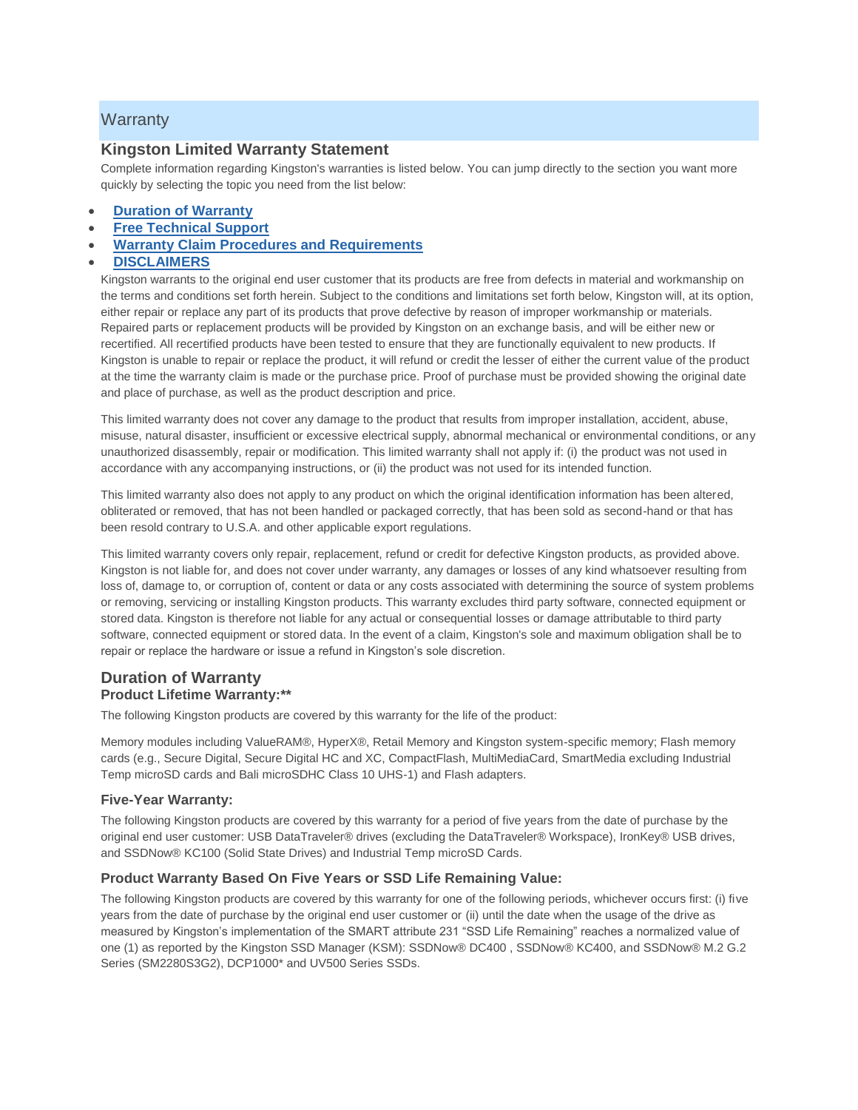# **Warranty**

# **Kingston Limited Warranty Statement**

Complete information regarding Kingston's warranties is listed below. You can jump directly to the section you want more quickly by selecting the topic you need from the list below:

- **[Duration of Warranty](https://www.kingston.com/us/company/warranty#duration)**
- **[Free Technical Support](https://www.kingston.com/us/company/warranty#free-tech-support)**
- **[Warranty Claim Procedures and Requirements](https://www.kingston.com/us/company/warranty#procedures)**

### **[DISCLAIMERS](https://www.kingston.com/us/company/warranty#disclaimers)**

Kingston warrants to the original end user customer that its products are free from defects in material and workmanship on the terms and conditions set forth herein. Subject to the conditions and limitations set forth below, Kingston will, at its option, either repair or replace any part of its products that prove defective by reason of improper workmanship or materials. Repaired parts or replacement products will be provided by Kingston on an exchange basis, and will be either new or recertified. All recertified products have been tested to ensure that they are functionally equivalent to new products. If Kingston is unable to repair or replace the product, it will refund or credit the lesser of either the current value of the product at the time the warranty claim is made or the purchase price. Proof of purchase must be provided showing the original date and place of purchase, as well as the product description and price.

This limited warranty does not cover any damage to the product that results from improper installation, accident, abuse, misuse, natural disaster, insufficient or excessive electrical supply, abnormal mechanical or environmental conditions, or any unauthorized disassembly, repair or modification. This limited warranty shall not apply if: (i) the product was not used in accordance with any accompanying instructions, or (ii) the product was not used for its intended function.

This limited warranty also does not apply to any product on which the original identification information has been altered, obliterated or removed, that has not been handled or packaged correctly, that has been sold as second-hand or that has been resold contrary to U.S.A. and other applicable export regulations.

This limited warranty covers only repair, replacement, refund or credit for defective Kingston products, as provided above. Kingston is not liable for, and does not cover under warranty, any damages or losses of any kind whatsoever resulting from loss of, damage to, or corruption of, content or data or any costs associated with determining the source of system problems or removing, servicing or installing Kingston products. This warranty excludes third party software, connected equipment or stored data. Kingston is therefore not liable for any actual or consequential losses or damage attributable to third party software, connected equipment or stored data. In the event of a claim, Kingston's sole and maximum obligation shall be to repair or replace the hardware or issue a refund in Kingston's sole discretion.

# **Duration of Warranty Product Lifetime Warranty:\*\***

The following Kingston products are covered by this warranty for the life of the product:

Memory modules including ValueRAM®, HyperX®, Retail Memory and Kingston system-specific memory; Flash memory cards (e.g., Secure Digital, Secure Digital HC and XC, CompactFlash, MultiMediaCard, SmartMedia excluding Industrial Temp microSD cards and Bali microSDHC Class 10 UHS-1) and Flash adapters.

#### **Five-Year Warranty:**

The following Kingston products are covered by this warranty for a period of five years from the date of purchase by the original end user customer: USB DataTraveler® drives (excluding the DataTraveler® Workspace), IronKey® USB drives, and SSDNow® KC100 (Solid State Drives) and Industrial Temp microSD Cards.

### **Product Warranty Based On Five Years or SSD Life Remaining Value:**

The following Kingston products are covered by this warranty for one of the following periods, whichever occurs first: (i) five years from the date of purchase by the original end user customer or (ii) until the date when the usage of the drive as measured by Kingston's implementation of the SMART attribute 231 "SSD Life Remaining" reaches a normalized value of one (1) as reported by the Kingston SSD Manager (KSM): SSDNow® DC400 , SSDNow® KC400, and SSDNow® M.2 G.2 Series (SM2280S3G2), DCP1000\* and UV500 Series SSDs.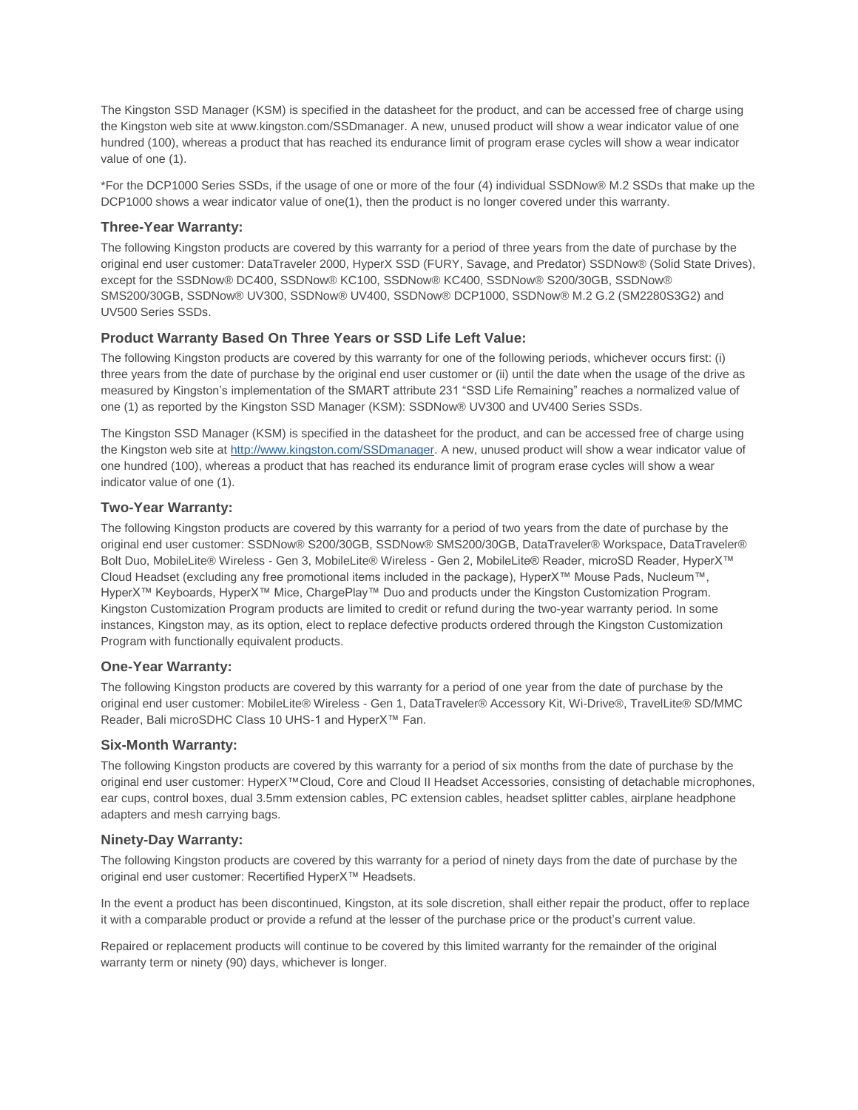The Kingston SSD Manager (KSM) is specified in the datasheet for the product, and can be accessed free of charge using the Kingston web site at www.kingston.com/SSDmanager. A new, unused product will show a wear indicator value of one hundred (100), whereas a product that has reached its endurance limit of program erase cycles will show a wear indicator value of one (1).

\*For the DCP1000 Series SSDs, if the usage of one or more of the four (4) individual SSDNow® M.2 SSDs that make up the DCP1000 shows a wear indicator value of one(1), then the product is no longer covered under this warranty.

#### **Three-Year Warranty:**

The following Kingston products are covered by this warranty for a period of three years from the date of purchase by the original end user customer: DataTraveler 2000, HyperX SSD (FURY, Savage, and Predator) SSDNow® (Solid State Drives), except for the SSDNow® DC400, SSDNow® KC100, SSDNow® KC400, SSDNow® S200/30GB, SSDNow® SMS200/30GB, SSDNow® UV300, SSDNow® UV400, SSDNow® DCP1000, SSDNow® M.2 G.2 (SM2280S3G2) and UV500 Series SSDs.

### **Product Warranty Based On Three Years or SSD Life Left Value:**

The following Kingston products are covered by this warranty for one of the following periods, whichever occurs first: (i) three years from the date of purchase by the original end user customer or (ii) until the date when the usage of the drive as measured by Kingston's implementation of the SMART attribute 231 "SSD Life Remaining" reaches a normalized value of one (1) as reported by the Kingston SSD Manager (KSM): SSDNow® UV300 and UV400 Series SSDs.

The Kingston SSD Manager (KSM) is specified in the datasheet for the product, and can be accessed free of charge using the Kingston web site at [http://www.kingston.com/SSDmanager.](http://www.kingston.com/SSDmanager) A new, unused product will show a wear indicator value of one hundred (100), whereas a product that has reached its endurance limit of program erase cycles will show a wear indicator value of one (1).

### **Two-Year Warranty:**

The following Kingston products are covered by this warranty for a period of two years from the date of purchase by the original end user customer: SSDNow® S200/30GB, SSDNow® SMS200/30GB, DataTraveler® Workspace, DataTraveler® Bolt Duo, MobileLite® Wireless - Gen 3, MobileLite® Wireless - Gen 2, MobileLite® Reader, microSD Reader, HyperX™ Cloud Headset (excluding any free promotional items included in the package), HyperX™ Mouse Pads, Nucleum™, HyperX™ Keyboards, HyperX™ Mice, ChargePlay™ Duo and products under the Kingston Customization Program. Kingston Customization Program products are limited to credit or refund during the two-year warranty period. In some instances, Kingston may, as its option, elect to replace defective products ordered through the Kingston Customization Program with functionally equivalent products.

#### **One-Year Warranty:**

The following Kingston products are covered by this warranty for a period of one year from the date of purchase by the original end user customer: MobileLite® Wireless - Gen 1, DataTraveler® Accessory Kit, Wi-Drive®, TravelLite® SD/MMC Reader, Bali microSDHC Class 10 UHS-1 and HyperX™ Fan.

#### **Six-Month Warranty:**

The following Kingston products are covered by this warranty for a period of six months from the date of purchase by the original end user customer: HyperX™Cloud, Core and Cloud II Headset Accessories, consisting of detachable microphones, ear cups, control boxes, dual 3.5mm extension cables, PC extension cables, headset splitter cables, airplane headphone adapters and mesh carrying bags.

#### **Ninety-Day Warranty:**

The following Kingston products are covered by this warranty for a period of ninety days from the date of purchase by the original end user customer: Recertified HyperX™ Headsets.

In the event a product has been discontinued, Kingston, at its sole discretion, shall either repair the product, offer to replace it with a comparable product or provide a refund at the lesser of the purchase price or the product's current value.

Repaired or replacement products will continue to be covered by this limited warranty for the remainder of the original warranty term or ninety (90) days, whichever is longer.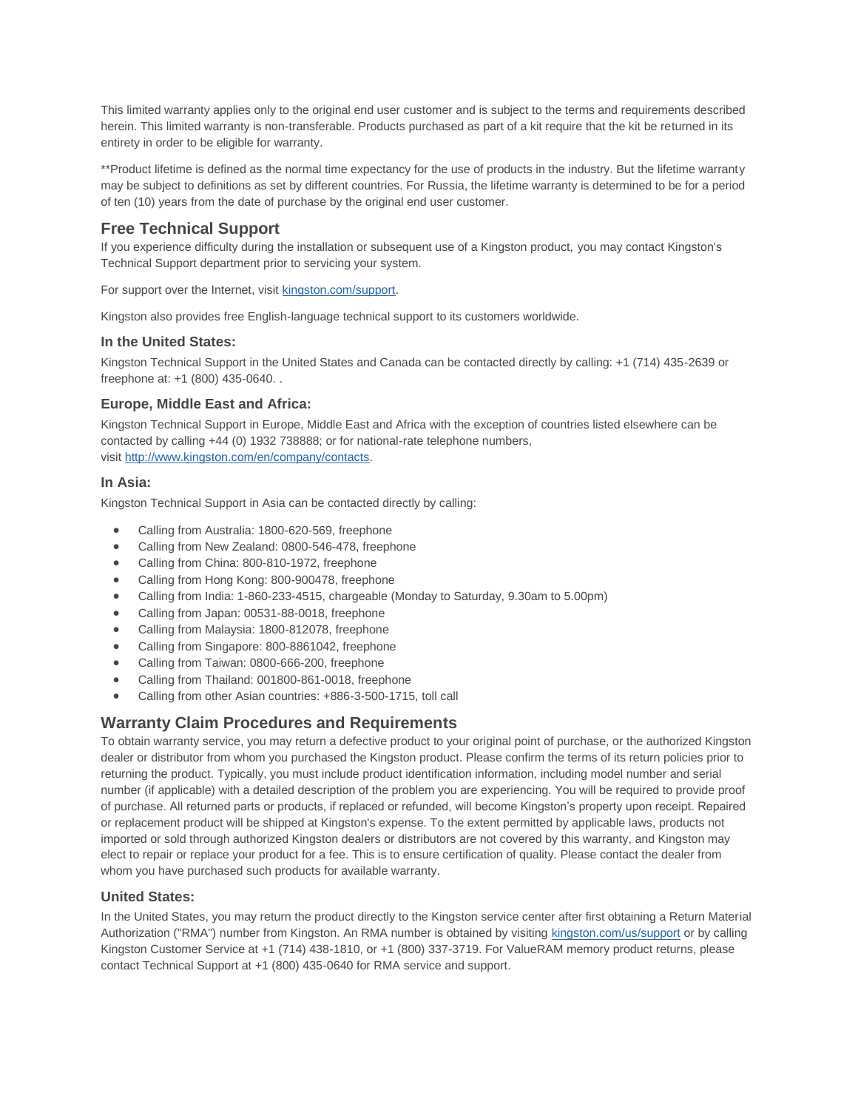This limited warranty applies only to the original end user customer and is subject to the terms and requirements described herein. This limited warranty is non-transferable. Products purchased as part of a kit require that the kit be returned in its entirety in order to be eligible for warranty.

\*\*Product lifetime is defined as the normal time expectancy for the use of products in the industry. But the lifetime warranty may be subject to definitions as set by different countries. For Russia, the lifetime warranty is determined to be for a period of ten (10) years from the date of purchase by the original end user customer.

# **Free Technical Support**

If you experience difficulty during the installation or subsequent use of a Kingston product, you may contact Kingston's Technical Support department prior to servicing your system.

For support over the Internet, visit [kingston.com/support.](http://www.kingston.com/support)

Kingston also provides free English-language technical support to its customers worldwide.

#### **In the United States:**

Kingston Technical Support in the United States and Canada can be contacted directly by calling: +1 (714) 435-2639 or freephone at: +1 (800) 435-0640. .

### **Europe, Middle East and Africa:**

Kingston Technical Support in Europe, Middle East and Africa with the exception of countries listed elsewhere can be contacted by calling +44 (0) 1932 738888; or for national-rate telephone numbers, visit [http://www.kingston.com/en/company/contacts.](http://www.kingston.com/en/company/contacts)

### **In Asia:**

Kingston Technical Support in Asia can be contacted directly by calling:

- Calling from Australia: 1800-620-569, freephone
- Calling from New Zealand: 0800-546-478, freephone
- Calling from China: 800-810-1972, freephone
- Calling from Hong Kong: 800-900478, freephone
- Calling from India: 1-860-233-4515, chargeable (Monday to Saturday, 9.30am to 5.00pm)
- Calling from Japan: 00531-88-0018, freephone
- Calling from Malaysia: 1800-812078, freephone
- Calling from Singapore: 800-8861042, freephone
- Calling from Taiwan: 0800-666-200, freephone
- Calling from Thailand: 001800-861-0018, freephone
- Calling from other Asian countries: +886-3-500-1715, toll call

# **Warranty Claim Procedures and Requirements**

To obtain warranty service, you may return a defective product to your original point of purchase, or the authorized Kingston dealer or distributor from whom you purchased the Kingston product. Please confirm the terms of its return policies prior to returning the product. Typically, you must include product identification information, including model number and serial number (if applicable) with a detailed description of the problem you are experiencing. You will be required to provide proof of purchase. All returned parts or products, if replaced or refunded, will become Kingston's property upon receipt. Repaired or replacement product will be shipped at Kingston's expense. To the extent permitted by applicable laws, products not imported or sold through authorized Kingston dealers or distributors are not covered by this warranty, and Kingston may elect to repair or replace your product for a fee. This is to ensure certification of quality. Please contact the dealer from whom you have purchased such products for available warranty.

### **United States:**

In the United States, you may return the product directly to the Kingston service center after first obtaining a Return Material Authorization ("RMA") number from Kingston. An RMA number is obtained by visiting [kingston.com/us/support](http://www.kingston.com/us/support) or by calling Kingston Customer Service at +1 (714) 438-1810, or +1 (800) 337-3719. For ValueRAM memory product returns, please contact Technical Support at +1 (800) 435-0640 for RMA service and support.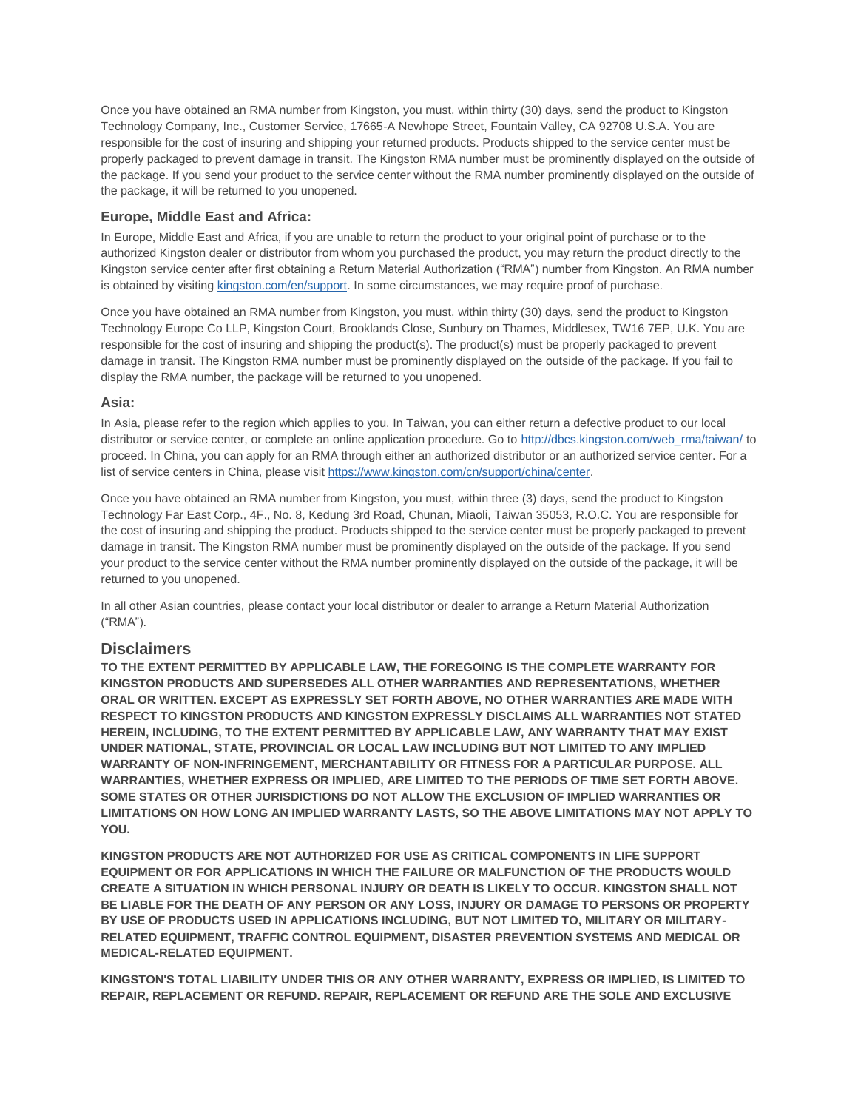Once you have obtained an RMA number from Kingston, you must, within thirty (30) days, send the product to Kingston Technology Company, Inc., Customer Service, 17665-A Newhope Street, Fountain Valley, CA 92708 U.S.A. You are responsible for the cost of insuring and shipping your returned products. Products shipped to the service center must be properly packaged to prevent damage in transit. The Kingston RMA number must be prominently displayed on the outside of the package. If you send your product to the service center without the RMA number prominently displayed on the outside of the package, it will be returned to you unopened.

## **Europe, Middle East and Africa:**

In Europe, Middle East and Africa, if you are unable to return the product to your original point of purchase or to the authorized Kingston dealer or distributor from whom you purchased the product, you may return the product directly to the Kingston service center after first obtaining a Return Material Authorization ("RMA") number from Kingston. An RMA number is obtained by visiting [kingston.com/en/support.](http://www.kingston.com/en/support) In some circumstances, we may require proof of purchase.

Once you have obtained an RMA number from Kingston, you must, within thirty (30) days, send the product to Kingston Technology Europe Co LLP, Kingston Court, Brooklands Close, Sunbury on Thames, Middlesex, TW16 7EP, U.K. You are responsible for the cost of insuring and shipping the product(s). The product(s) must be properly packaged to prevent damage in transit. The Kingston RMA number must be prominently displayed on the outside of the package. If you fail to display the RMA number, the package will be returned to you unopened.

### **Asia:**

In Asia, please refer to the region which applies to you. In Taiwan, you can either return a defective product to our local distributor or service center, or complete an online application procedure. Go to [http://dbcs.kingston.com/web\\_rma/taiwan/](http://dbcs.kingston.com/web_rma/taiwan/) to proceed. In China, you can apply for an RMA through either an authorized distributor or an authorized service center. For a list of service centers in China, please visit [https://www.kingston.com/cn/support/china/center.](https://www.kingston.com/cn/support/china/center)

Once you have obtained an RMA number from Kingston, you must, within three (3) days, send the product to Kingston Technology Far East Corp., 4F., No. 8, Kedung 3rd Road, Chunan, Miaoli, Taiwan 35053, R.O.C. You are responsible for the cost of insuring and shipping the product. Products shipped to the service center must be properly packaged to prevent damage in transit. The Kingston RMA number must be prominently displayed on the outside of the package. If you send your product to the service center without the RMA number prominently displayed on the outside of the package, it will be returned to you unopened.

In all other Asian countries, please contact your local distributor or dealer to arrange a Return Material Authorization ("RMA").

### **Disclaimers**

**TO THE EXTENT PERMITTED BY APPLICABLE LAW, THE FOREGOING IS THE COMPLETE WARRANTY FOR KINGSTON PRODUCTS AND SUPERSEDES ALL OTHER WARRANTIES AND REPRESENTATIONS, WHETHER ORAL OR WRITTEN. EXCEPT AS EXPRESSLY SET FORTH ABOVE, NO OTHER WARRANTIES ARE MADE WITH RESPECT TO KINGSTON PRODUCTS AND KINGSTON EXPRESSLY DISCLAIMS ALL WARRANTIES NOT STATED HEREIN, INCLUDING, TO THE EXTENT PERMITTED BY APPLICABLE LAW, ANY WARRANTY THAT MAY EXIST UNDER NATIONAL, STATE, PROVINCIAL OR LOCAL LAW INCLUDING BUT NOT LIMITED TO ANY IMPLIED WARRANTY OF NON-INFRINGEMENT, MERCHANTABILITY OR FITNESS FOR A PARTICULAR PURPOSE. ALL WARRANTIES, WHETHER EXPRESS OR IMPLIED, ARE LIMITED TO THE PERIODS OF TIME SET FORTH ABOVE. SOME STATES OR OTHER JURISDICTIONS DO NOT ALLOW THE EXCLUSION OF IMPLIED WARRANTIES OR LIMITATIONS ON HOW LONG AN IMPLIED WARRANTY LASTS, SO THE ABOVE LIMITATIONS MAY NOT APPLY TO YOU.**

**KINGSTON PRODUCTS ARE NOT AUTHORIZED FOR USE AS CRITICAL COMPONENTS IN LIFE SUPPORT EQUIPMENT OR FOR APPLICATIONS IN WHICH THE FAILURE OR MALFUNCTION OF THE PRODUCTS WOULD CREATE A SITUATION IN WHICH PERSONAL INJURY OR DEATH IS LIKELY TO OCCUR. KINGSTON SHALL NOT BE LIABLE FOR THE DEATH OF ANY PERSON OR ANY LOSS, INJURY OR DAMAGE TO PERSONS OR PROPERTY BY USE OF PRODUCTS USED IN APPLICATIONS INCLUDING, BUT NOT LIMITED TO, MILITARY OR MILITARY-RELATED EQUIPMENT, TRAFFIC CONTROL EQUIPMENT, DISASTER PREVENTION SYSTEMS AND MEDICAL OR MEDICAL-RELATED EQUIPMENT.**

**KINGSTON'S TOTAL LIABILITY UNDER THIS OR ANY OTHER WARRANTY, EXPRESS OR IMPLIED, IS LIMITED TO REPAIR, REPLACEMENT OR REFUND. REPAIR, REPLACEMENT OR REFUND ARE THE SOLE AND EXCLUSIVE**